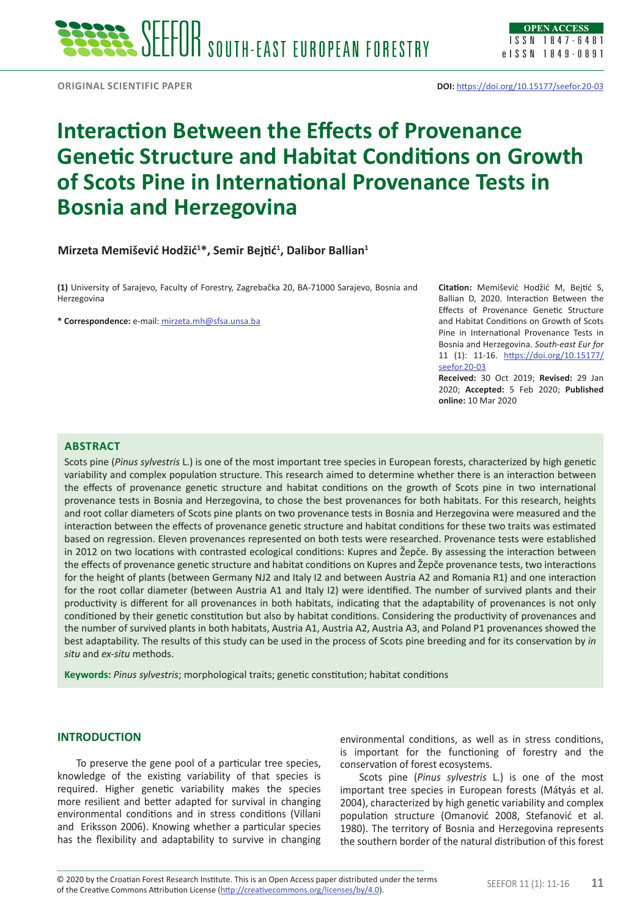# **Interaction Between the Effects of Provenance Genetic Structure and Habitat Conditions on Growth of Scots Pine in International Provenance Tests in Bosnia and Herzegovina**

## **Mirzeta Memišević Hodžić<sup>1</sup> \*, Semir Bejtić<sup>1</sup> , Dalibor Ballian<sup>1</sup>**

**(1)** University of Sarajevo, Faculty of Forestry, Zagrebačka 20, BA-71000 Sarajevo, Bosnia and Herzegovina

**\* Correspondence:** e-mail: [mirzeta.mh@sfsa.unsa.ba](mailto:mirzeta.mh@sfsa.unsa.ba)

**Citation:** Memišević Hodžić M, Bejtić S, Ballian D, 2020. Interaction Between the Effects of Provenance Genetic Structure and Habitat Conditions on Growth of Scots Pine in International Provenance Tests in Bosnia and Herzegovina. *South-east Eur for* 11 (1): 11-16. [https://doi.org/10.15177/](https://doi.org/10.15177/seefor.20-03) [seefor.20-03](https://doi.org/10.15177/seefor.20-03)

**Received:** 30 Oct 2019; **Revised:** 29 Jan 2020; **Accepted:** 5 Feb 2020; **Published online:** 10 Mar 2020

#### **Abstract**

Scots pine (*Pinus sylvestris* L.) is one of the most important tree species in European forests, characterized by high genetic variability and complex population structure. This research aimed to determine whether there is an interaction between the effects of provenance genetic structure and habitat conditions on the growth of Scots pine in two international provenance tests in Bosnia and Herzegovina, to chose the best provenances for both habitats. For this research, heights and root collar diameters of Scots pine plants on two provenance tests in Bosnia and Herzegovina were measured and the interaction between the effects of provenance genetic structure and habitat conditions for these two traits was estimated based on regression. Eleven provenances represented on both tests were researched. Provenance tests were established in 2012 on two locations with contrasted ecological conditions: Kupres and Žepče. By assessing the interaction between the effects of provenance genetic structure and habitat conditions on Kupres and Žepče provenance tests, two interactions for the height of plants (between Germany NJ2 and Italy I2 and between Austria A2 and Romania R1) and one interaction for the root collar diameter (between Austria A1 and Italy I2) were identified. The number of survived plants and their productivity is different for all provenances in both habitats, indicating that the adaptability of provenances is not only conditioned by their genetic constitution but also by habitat conditions. Considering the productivity of provenances and the number of survived plants in both habitats, Austria A1, Austria A2, Austria A3, and Poland P1 provenances showed the best adaptability. The results of this study can be used in the process of Scots pine breeding and for its conservation by *in situ* and *ex-situ* methods.

**Keywords:** *Pinus sylvestris*; morphological traits; genetic constitution; habitat conditions

## **INTRODUCTION**

To preserve the gene pool of a particular tree species, knowledge of the existing variability of that species is required. Higher genetic variability makes the species more resilient and better adapted for survival in changing environmental conditions and in stress conditions (Villani and Eriksson 2006). Knowing whether a particular species has the flexibility and adaptability to survive in changing

environmental conditions, as well as in stress conditions, is important for the functioning of forestry and the conservation of forest ecosystems.

Scots pine (*Pinus sylvestris* L.) is one of the most important tree species in European forests (Mátyás et al. 2004), characterized by high genetic variability and complex population structure (Omanović 2008, Stefanović et al. 1980). The territory of Bosnia and Herzegovina represents the southern border of the natural distribution of this forest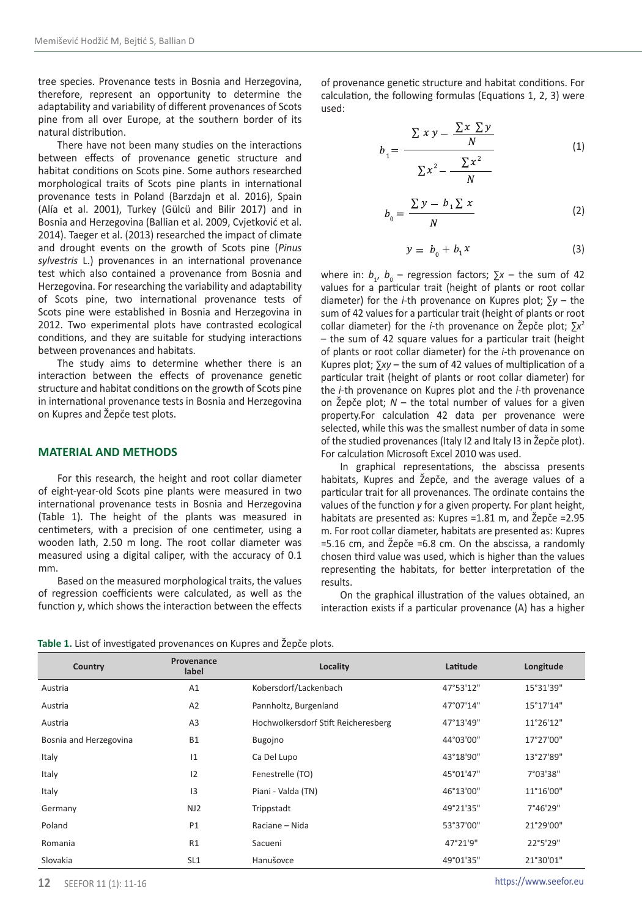tree species. Provenance tests in Bosnia and Herzegovina, therefore, represent an opportunity to determine the adaptability and variability of different provenances of Scots pine from all over Europe, at the southern border of its natural distribution.

There have not been many studies on the interactions between effects of provenance genetic structure and habitat conditions on Scots pine. Some authors researched morphological traits of Scots pine plants in international provenance tests in Poland (Barzdajn et al. 2016), Spain (Alía et al. 2001), Turkey (Gülcü and Bilir 2017) and in Bosnia and Herzegovina (Ballian et al. 2009, Cvjetković et al. 2014). Taeger et al. (2013) researched the impact of climate and drought events on the growth of Scots pine (*Pinus sylvestris* L.) provenances in an international provenance test which also contained a provenance from Bosnia and Herzegovina. For researching the variability and adaptability of Scots pine, two international provenance tests of Scots pine were established in Bosnia and Herzegovina in 2012. Two experimental plots have contrasted ecological conditions, and they are suitable for studying interactions between provenances and habitats.

The study aims to determine whether there is an interaction between the effects of provenance genetic structure and habitat conditions on the growth of Scots pine in international provenance tests in Bosnia and Herzegovina on Kupres and Žepče test plots.

#### **MATERIAL AND METHODS**

For this research, the height and root collar diameter of eight-year-old Scots pine plants were measured in two international provenance tests in Bosnia and Herzegovina (Table 1). The height of the plants was measured in centimeters, with a precision of one centimeter, using a wooden lath, 2.50 m long. The root collar diameter was measured using a digital caliper, with the accuracy of 0.1 mm.

Based on the measured morphological traits, the values of regression coefficients were calculated, as well as the function *y*, which shows the interaction between the effects of provenance genetic structure and habitat conditions. For calculation, the following formulas (Equations 1, 2, 3) were used:

$$
b_1 = \frac{\sum x y - \frac{\sum x \sum y}{N}}{\sum x^2 - \frac{\sum x^2}{N}}
$$
(1)

$$
b_0 = \frac{\sum y - b_1 \sum x}{N}
$$
 (2)

$$
y = b_0 + b_1 x \tag{3}
$$

where in:  $b_1$ ,  $b_0$  – regression factors;  $\Sigma x$  – the sum of 42 values for a particular trait (height of plants or root collar diameter) for the *i*-th provenance on Kupres plot; ∑*y* – the sum of 42 values for a particular trait (height of plants or root collar diameter) for the *i*-th provenance on Žepče plot; ∑*x*<sup>2</sup> – the sum of 42 square values for a particular trait (height of plants or root collar diameter) for the *i*-th provenance on Kupres plot; ∑*xy* – the sum of 42 values of multiplication of a particular trait (height of plants or root collar diameter) for the *i*-th provenance on Kupres plot and the *i*-th provenance on Žepče plot; *N* – the total number of values for a given property.For calculation 42 data per provenance were selected, while this was the smallest number of data in some of the studied provenances (Italy I2 and Italy I3 in Žepče plot). For calculation Microsoft Excel 2010 was used.

In graphical representations, the abscissa presents habitats, Kupres and Žepče, and the average values of a particular trait for all provenances. The ordinate contains the values of the function *y* for a given property. For plant height, habitats are presented as: Kupres = 1.81 m, and Žepče = 2.95 m. For root collar diameter, habitats are presented as: Kupres =5.16 cm, and Žepče =6.8 cm. On the abscissa, a randomly chosen third value was used, which is higher than the values representing the habitats, for better interpretation of the results.

On the graphical illustration of the values obtained, an interaction exists if a particular provenance (A) has a higher

**Table 1.** List of investigated provenances on Kupres and Žepče plots.

| Country                | Provenance<br>label | Locality                            | Latitude  | Longitude |
|------------------------|---------------------|-------------------------------------|-----------|-----------|
| Austria                | A1                  | Kobersdorf/Lackenbach               | 47°53'12" | 15°31'39" |
| Austria                | A <sub>2</sub>      | Pannholtz, Burgenland               | 47°07'14" | 15°17'14" |
| Austria                | A <sub>3</sub>      | Hochwolkersdorf Stift Reicheresberg | 47°13'49" | 11°26'12" |
| Bosnia and Herzegovina | <b>B1</b>           | Bugojno                             | 44°03'00" | 17°27'00" |
| Italy                  | 1                   | Ca Del Lupo                         | 43°18'90" | 13°27'89" |
| Italy                  | 12                  | Fenestrelle (TO)                    | 45°01'47" | 7°03'38"  |
| Italy                  | 3                   | Piani - Valda (TN)                  | 46°13'00" | 11°16'00" |
| Germany                | NJ2                 | Trippstadt                          | 49°21'35" | 7°46'29"  |
| Poland                 | <b>P1</b>           | Raciane - Nida                      | 53°37'00" | 21°29'00" |
| Romania                | R1                  | Sacueni                             | 47°21'9"  | 22°5'29"  |
| Slovakia               | SL <sub>1</sub>     | Hanušovce                           | 49°01'35" | 21°30'01" |

[https://www.seefor.eu](http://www.seefor.eu)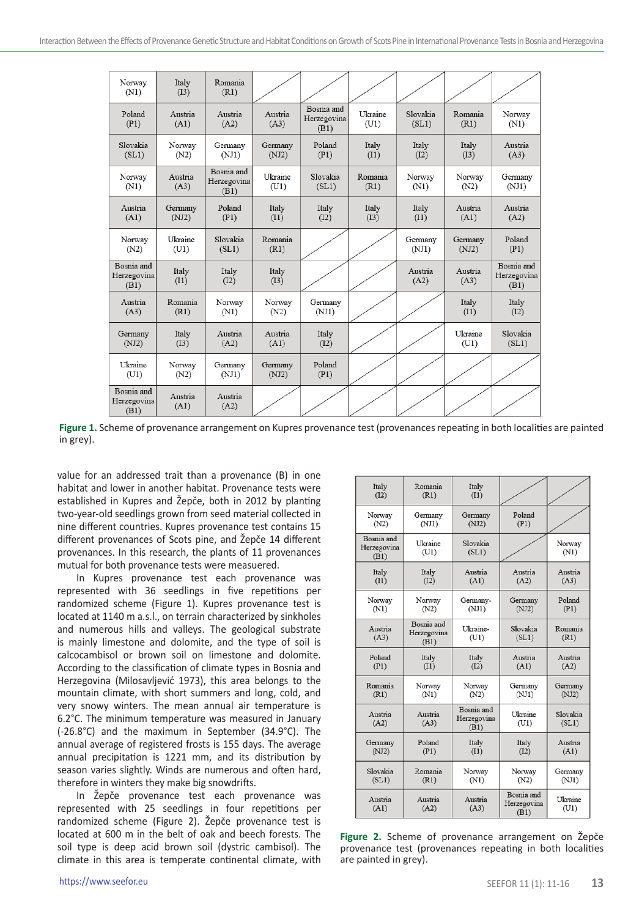| Norway<br>(N1)                    | Italy<br>(I3)    | Romania<br>(R1)                   |                  |                                   |                 |                   |                  |                                   |
|-----------------------------------|------------------|-----------------------------------|------------------|-----------------------------------|-----------------|-------------------|------------------|-----------------------------------|
| Poland<br>(P1)                    | Austria<br>(A1)  | Austria<br>(A2)                   | Austria<br>(A3)  | Bosnia and<br>Herzegovina<br>(B1) | Ukraine<br>(U1) | Slovakia<br>(SL1) | Romania<br>(R1)  | Norway<br>(N1)                    |
| Slovakia<br>(SL1)                 | Norway<br>(N2)   | Germany<br>(NJ1)                  | Germany<br>(NJ2) | Poland<br>(P1)                    | Italy<br>(11)   | Italy<br>(I2)     | Italy<br>(13)    | Austria<br>(A3)                   |
| Norway<br>(N1)                    | Austria<br>(A3)  | Bosnia and<br>Herzegovina<br>(B1) | Ukraine<br>(U1)  | Slovakia<br>(SL1)                 | Romania<br>(R1) | Norway<br>(N1)    | Norway<br>(N2)   | Germany<br>(NJ1)                  |
| Austria<br>(A1)                   | Germany<br>(NJ2) | Poland<br>(P1)                    | Italy<br>(11)    | Italy<br>(12)                     | Italy<br>(I3)   | Italy<br>(11)     | Austria<br>(A1)  | Austria<br>(A2)                   |
| Norway<br>(N2)                    | Ukraine<br>(U1)  | Slovakia<br>(SL1)                 | Romania<br>(R1)  |                                   |                 | Germany<br>(NJ1)  | Germany<br>(NJ2) | Poland<br>(P1)                    |
| Bosnia and<br>Herzegovina<br>(B1) | Italy<br>(11)    | Italy<br>(I2)                     | Italy<br>(I3)    |                                   |                 | Austria<br>(A2)   | Austria<br>(A3)  | Bosnia and<br>Herzegovina<br>(B1) |
| Austria<br>(A3)                   | Romania<br>(R1)  | Norway<br>(N1)                    | Norway<br>(N2)   | Germany<br>(NJ1)                  |                 |                   | Italy<br>(11)    | Italy<br>(I2)                     |
| Germany<br>(NJ2)                  | Italy<br>(I3)    | Austria<br>(A2)                   | Austria<br>(A1)  | Italy<br>(I2)                     |                 |                   | Ukraine<br>(U1)  | Slovakia<br>(SL1)                 |
| Ukraine<br>(U1)                   | Norway<br>(N2)   | Germany<br>(NJ1)                  | Germany<br>(NJ2) | Poland<br>(P1)                    |                 |                   |                  |                                   |
| Bosnia and<br>Herzegovina<br>(B1) | Austria<br>(A1)  | Austria<br>(A2)                   |                  |                                   |                 |                   |                  |                                   |

Figure 1. Scheme of provenance arrangement on Kupres provenance test (provenances repeating in both localities are painted in grey).

value for an addressed trait than a provenance (B) in one habitat and lower in another habitat. Provenance tests were established in Kupres and Žepče, both in 2012 by planting two-year-old seedlings grown from seed material collected in nine different countries. Kupres provenance test contains 15 different provenances of Scots pine, and Žepče 14 different provenances. In this research, the plants of 11 provenances mutual for both provenance tests were measuered.

In Kupres provenance test each provenance was represented with 36 seedlings in five repetitions per randomized scheme (Figure 1). Kupres provenance test is located at 1140 m a.s.l., on terrain characterized by sinkholes and numerous hills and valleys. The geological substrate is mainly limestone and dolomite, and the type of soil is calcocambisol or brown soil on limestone and dolomite. According to the classification of climate types in Bosnia and Herzegovina (Milosavljević 1973), this area belongs to the mountain climate, with short summers and long, cold, and very snowy winters. The mean annual air temperature is 6.2°C. The minimum temperature was measured in January (-26.8°C) and the maximum in September (34.9°C). The annual average of registered frosts is 155 days. The average annual precipitation is 1221 mm, and its distribution by season varies slightly. Winds are numerous and often hard, therefore in winters they make big snowdrifts.

In Žepče provenance test each provenance was represented with 25 seedlings in four repetitions per randomized scheme (Figure 2). Žepče provenance test is located at 600 m in the belt of oak and beech forests. The soil type is deep acid brown soil (dystric cambisol). The climate in this area is temperate continental climate, with

| Italy<br>(12)                     | Romania<br>(R1)                   | Italy<br>(I1)                     |                                   |                   |
|-----------------------------------|-----------------------------------|-----------------------------------|-----------------------------------|-------------------|
| Norway                            | Germany                           | Germany                           | Poland                            |                   |
| (N2)                              | (NJ1)                             | (NJ2)                             | (P1)                              |                   |
| Bosnia and<br>Herzegovina<br>(B1) | Ukraine<br>(U1)                   | Slovakia<br>(SL1)                 |                                   | Norway<br>(N1)    |
| Italy                             | Italy                             | Austria                           | Austria                           | Austria           |
| (11)                              | (I2)                              | (A1)                              | (A2)                              | (A3)              |
| Norway                            | Norway                            | Germany-                          | Germany                           | Poland            |
| (N1)                              | (N2)                              | (NJ1)                             | (NJ2)                             | (P1)              |
| Austria<br>(A3)                   | Bosnia and<br>Herzegovina<br>(B1) | Ukraine-<br>(U1)                  | Slovakia<br>(SL1)                 | Romania<br>(R1)   |
| Poland                            | Italy                             | Italy                             | Austria                           | Austria           |
| (P1)                              | (11)                              | (I2)                              | (A1)                              | (A2)              |
| Romania                           | Norway                            | Norway                            | Germany                           | Germany           |
| (R1)                              | (N1)                              | (N2)                              | (NJ1)                             | (NJ2)             |
| Austria<br>(A2)                   | Austria<br>(A3)                   | Bosnia and<br>Herzegovina<br>(B1) | Ukraine<br>(U1)                   | Slovakia<br>(SL1) |
| Germany                           | Poland                            | Italy                             | Italy                             | Austria           |
| (NJ2)                             | (P1)                              | (I1)                              | (I2)                              | (A1)              |
| Slovakia                          | Romania                           | Norway                            | Norway                            | Germany           |
| (SL1)                             | (R1)                              | (N1)                              | (N2)                              | (NJ1)             |
| Austria<br>(A1)                   | Austria<br>(A2)                   | Austria<br>(A3)                   | Bosnia and<br>Herzegovina<br>(B1) | Ukraine<br>(U1)   |

**Figure 2.** Scheme of provenance arrangement on Žepče provenance test (provenances repeating in both localities are painted in grey).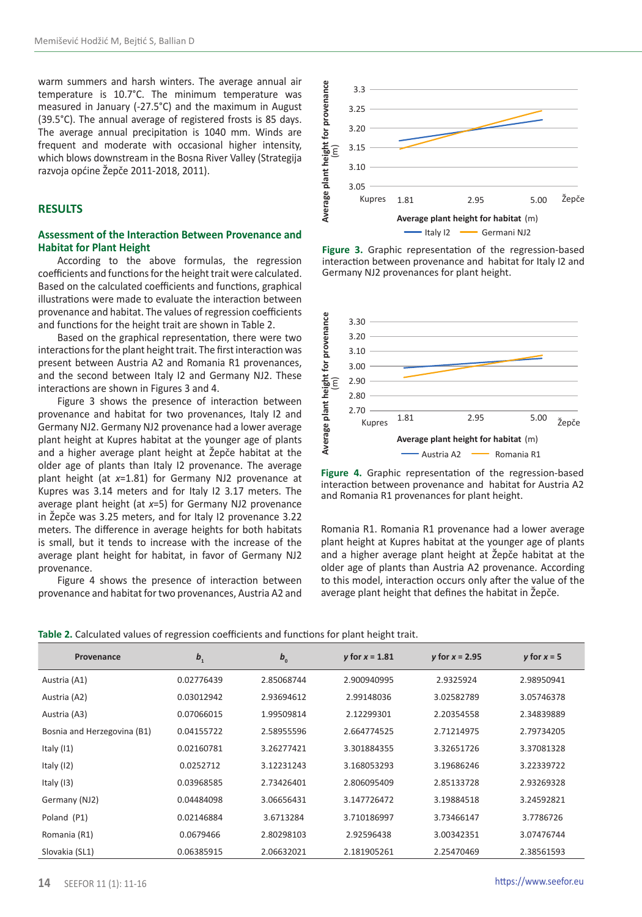warm summers and harsh winters. The average annual air temperature is 10.7°C. The minimum temperature was measured in January (-27.5°C) and the maximum in August (39.5°C). The annual average of registered frosts is 85 days. The average annual precipitation is 1040 mm. Winds are frequent and moderate with occasional higher intensity, which blows downstream in the Bosna River Valley (Strategija razvoja općine Žepče 2011-2018, 2011).

## **RESULTS**

## **Assessment of the Interaction Between Provenance and Habitat for Plant Height**

According to the above formulas, the regression coefficients and functions for the height trait were calculated. Based on the calculated coefficients and functions, graphical illustrations were made to evaluate the interaction between provenance and habitat. The values of regression coefficients and functions for the height trait are shown in Table 2.

Based on the graphical representation, there were two interactions for the plant height trait. The first interaction was present between Austria A2 and Romania R1 provenances, and the second between Italy I2 and Germany NJ2. These interactions are shown in Figures 3 and 4.

Figure 3 shows the presence of interaction between provenance and habitat for two provenances, Italy I2 and Germany NJ2. Germany NJ2 provenance had a lower average plant height at Kupres habitat at the younger age of plants and a higher average plant height at Žepče habitat at the older age of plants than Italy I2 provenance. The average plant height (at *x*=1.81) for Germany NJ2 provenance at Kupres was 3.14 meters and for Italy I2 3.17 meters. The average plant height (at *x*=5) for Germany NJ2 provenance in Žepče was 3.25 meters, and for Italy I2 provenance 3.22 meters. The difference in average heights for both habitats is small, but it tends to increase with the increase of the average plant height for habitat, in favor of Germany NJ2 provenance.

Figure 4 shows the presence of interaction between provenance and habitat for two provenances, Austria A2 and



**Figure 3.** Graphic representation of the regression-based interaction between provenance and habitat for Italy I2 and Germany NJ2 provenances for plant height.



**Figure 4.** Graphic representation of the regression-based interaction between provenance and habitat for Austria A2 and Romania R1 provenances for plant height.

Romania R1. Romania R1 provenance had a lower average plant height at Kupres habitat at the younger age of plants and a higher average plant height at Žepče habitat at the older age of plants than Austria A2 provenance. According to this model, interaction occurs only after the value of the average plant height that defines the habitat in Žepče.

| Table 2. Calculated values of regression coefficients and functions for plant height trait. |  |  |  |  |  |
|---------------------------------------------------------------------------------------------|--|--|--|--|--|
|---------------------------------------------------------------------------------------------|--|--|--|--|--|

| Provenance                  | $b_{1}$    | $b_{0}$    | y for $x = 1.81$ | y for $x = 2.95$ | y for $x = 5$ |
|-----------------------------|------------|------------|------------------|------------------|---------------|
| Austria (A1)                | 0.02776439 | 2.85068744 | 2.900940995      | 2.9325924        | 2.98950941    |
| Austria (A2)                | 0.03012942 | 2.93694612 | 2.99148036       | 3.02582789       | 3.05746378    |
| Austria (A3)                | 0.07066015 | 1.99509814 | 2.12299301       | 2.20354558       | 2.34839889    |
| Bosnia and Herzegovina (B1) | 0.04155722 | 2.58955596 | 2.664774525      | 2.71214975       | 2.79734205    |
| Italy $(11)$                | 0.02160781 | 3.26277421 | 3.301884355      | 3.32651726       | 3.37081328    |
| Italy (I2)                  | 0.0252712  | 3.12231243 | 3.168053293      | 3.19686246       | 3.22339722    |
| Italy $(13)$                | 0.03968585 | 2.73426401 | 2.806095409      | 2.85133728       | 2.93269328    |
| Germany (NJ2)               | 0.04484098 | 3.06656431 | 3.147726472      | 3.19884518       | 3.24592821    |
| Poland (P1)                 | 0.02146884 | 3.6713284  | 3.710186997      | 3.73466147       | 3.7786726     |
| Romania (R1)                | 0.0679466  | 2.80298103 | 2.92596438       | 3.00342351       | 3.07476744    |
| Slovakia (SL1)              | 0.06385915 | 2.06632021 | 2.181905261      | 2.25470469       | 2.38561593    |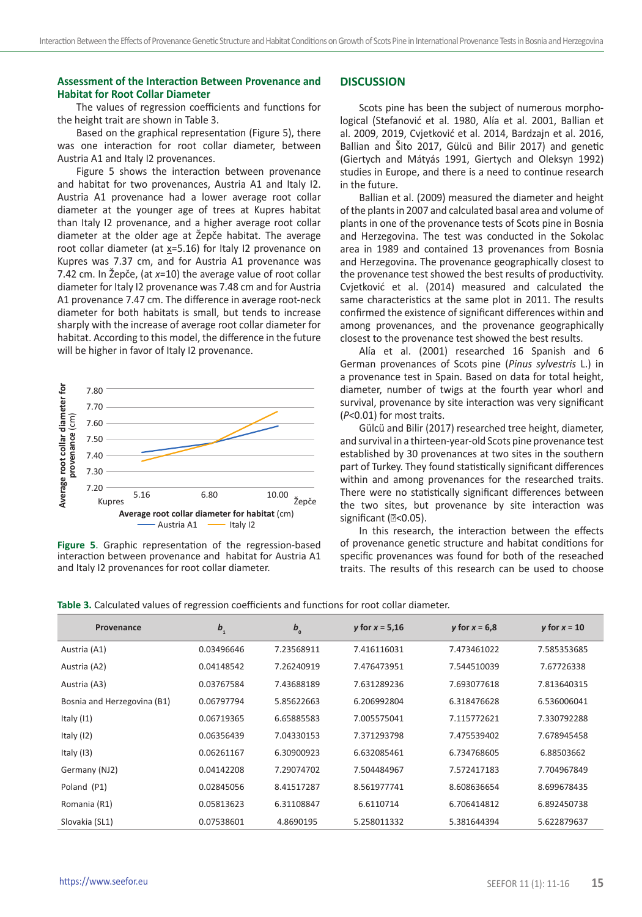## **Assessment of the Interaction Between Provenance and Habitat for Root Collar Diameter**

The values of regression coefficients and functions for the height trait are shown in Table 3.

Based on the graphical representation (Figure 5), there was one interaction for root collar diameter, between Austria A1 and Italy I2 provenances.

Figure 5 shows the interaction between provenance and habitat for two provenances, Austria A1 and Italy I2. Austria A1 provenance had a lower average root collar diameter at the younger age of trees at Kupres habitat than Italy I2 provenance, and a higher average root collar diameter at the older age at Žepče habitat. The average root collar diameter (at  $x=5.16$ ) for Italy I2 provenance on Kupres was 7.37 cm, and for Austria A1 provenance was 7.42 cm. In Žepče, (at *x*=10) the average value of root collar diameter for Italy I2 provenance was 7.48 cm and for Austria A1 provenance 7.47 cm. The difference in average root-neck diameter for both habitats is small, but tends to increase sharply with the increase of average root collar diameter for habitat. According to this model, the difference in the future will be higher in favor of Italy I2 provenance.



**Figure 5**. Graphic representation of the regression-based interaction between provenance and habitat for Austria A1 and Italy I2 provenances for root collar diameter.

#### **DISCUSSION**

Scots pine has been the subject of numerous morphological (Stefanović et al. 1980, Alía et al. 2001, Ballian et al. 2009, 2019, Cvjetković et al. 2014, Bardzajn et al. 2016, Ballian and Šito 2017, Gülcü and Bilir 2017) and genetic (Giertych and Mátyás 1991, Giertych and Oleksyn 1992) studies in Europe, and there is a need to continue research in the future.

Ballian et al. (2009) measured the diameter and height of the plants in 2007 and calculated basal area and volume of plants in one of the provenance tests of Scots pine in Bosnia and Herzegovina. The test was conducted in the Sokolac area in 1989 and contained 13 provenances from Bosnia and Herzegovina. The provenance geographically closest to the provenance test showed the best results of productivity. Cvjetković et al. (2014) measured and calculated the same characteristics at the same plot in 2011. The results confirmed the existence of significant differences within and among provenances, and the provenance geographically closest to the provenance test showed the best results.

Alía et al. (2001) researched 16 Spanish and 6 German provenances of Scots pine (*Pinus sylvestris* L.) in a provenance test in Spain. Based on data for total height, diameter, number of twigs at the fourth year whorl and survival, provenance by site interaction was very significant (*P*<0.01) for most traits.

Gülcü and Bilir (2017) researched tree height, diameter, and survival in a thirteen-year-old Scots pine provenance test established by 30 provenances at two sites in the southern part of Turkey. They found statistically significant differences within and among provenances for the researched traits. There were no statistically significant differences between the two sites, but provenance by site interaction was significant (2<0.05).

In this research, the interaction between the effects of provenance genetic structure and habitat conditions for specific provenances was found for both of the reseached traits. The results of this research can be used to choose

| Table 3. Calculated values of regression coefficients and functions for root collar diameter. |  |  |  |  |  |  |
|-----------------------------------------------------------------------------------------------|--|--|--|--|--|--|
|-----------------------------------------------------------------------------------------------|--|--|--|--|--|--|

| Provenance                  | $b_{1}$    | $b_{0}$    | y for $x = 5,16$ | y for $x = 6.8$ | y for $x = 10$ |
|-----------------------------|------------|------------|------------------|-----------------|----------------|
| Austria (A1)                | 0.03496646 | 7.23568911 | 7.416116031      | 7.473461022     | 7.585353685    |
| Austria (A2)                | 0.04148542 | 7.26240919 | 7.476473951      | 7.544510039     | 7.67726338     |
| Austria (A3)                | 0.03767584 | 7.43688189 | 7.631289236      | 7.693077618     | 7.813640315    |
| Bosnia and Herzegovina (B1) | 0.06797794 | 5.85622663 | 6.206992804      | 6.318476628     | 6.536006041    |
| Italy $(11)$                | 0.06719365 | 6.65885583 | 7.005575041      | 7.115772621     | 7.330792288    |
| Italy $(12)$                | 0.06356439 | 7.04330153 | 7.371293798      | 7.475539402     | 7.678945458    |
| Italy $(13)$                | 0.06261167 | 6.30900923 | 6.632085461      | 6.734768605     | 6.88503662     |
| Germany (NJ2)               | 0.04142208 | 7.29074702 | 7.504484967      | 7.572417183     | 7.704967849    |
| Poland (P1)                 | 0.02845056 | 8.41517287 | 8.561977741      | 8.608636654     | 8.699678435    |
| Romania (R1)                | 0.05813623 | 6.31108847 | 6.6110714        | 6.706414812     | 6.892450738    |
| Slovakia (SL1)              | 0.07538601 | 4.8690195  | 5.258011332      | 5.381644394     | 5.622879637    |